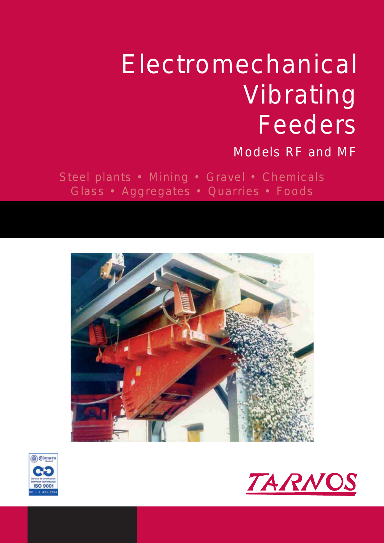## Electromechanical Vibrating Feeders

### Models RF and MF

Steel plants • Mining • Gravel • Chemicals Glass • Aggregates • Quarries • Foods





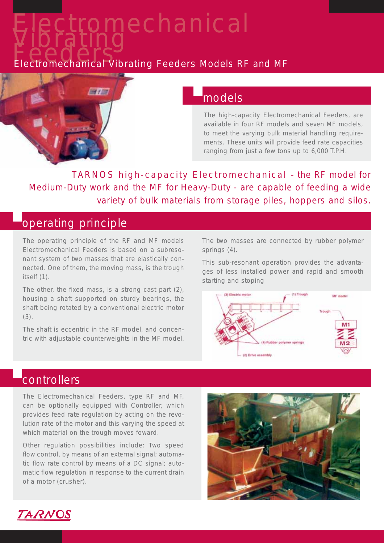# Electromechanical<br>Eededers<br>Electromechanical Vibrating Feeders Models RF and MF



#### models

The high-capacity Electromechanical Feeders, are available in four RF models and seven MF models, to meet the varying bulk material handling requirements. These units will provide feed rate capacities ranging from just a few tons up to 6,000 T.P.H.

TARNOS high-capacity Electromechanical - the RF model for Medium-Duty work and the MF for Heavy-Duty - are capable of feeding a wide variety of bulk materials from storage piles, hoppers and silos.

#### operating principle

The operating principle of the RF and MF models Electromechanical Feeders is based on a subresonant system of two masses that are elastically connected. One of them, the moving mass, is the trough itself (1).

The other, the fixed mass, is a strong cast part (2), housing a shaft supported on sturdy bearings, the shaft being rotated by a conventional electric motor (3).

The shaft is eccentric in the RF model, and concentric with adjustable counterweights in the MF model. The two masses are connected by rubber polymer springs (4).

This sub-resonant operation provides the advantages of less installed power and rapid and smooth starting and stoping



#### **controllers**

The Electromechanical Feeders, type RF and MF, can be optionally equipped with Controller, which provides feed rate regulation by acting on the revolution rate of the motor and this varying the speed at which material on the trough moves foward.

Other regulation possibilities include: Two speed flow control, by means of an external signal; automatic flow rate control by means of a DC signal; automatic flow regulation in response to the current drain of a motor (crusher).



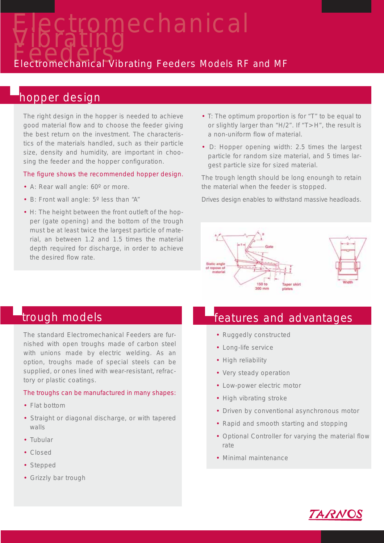Electromechanical<br>Vibrating<br>Electromechanical Vibrating Feeders Models RF and MF

#### hopper design

The right design in the hopper is needed to achieve good material flow and to choose the feeder giving the best return on the investment. The characteristics of the materials handled, such as their particle size, density and humidity, are important in choosing the feeder and the hopper configuration.

#### The figure shows the recommended hopper design.

- A: Rear wall angle: 60º or more.
- B: Front wall angle: 5º less than "A"
- H: The height between the front outleft of the hopper (gate opening) and the bottom of the trough must be at least twice the largest particle of material, an between 1.2 and 1.5 times the material depth required for discharge, in order to achieve the desired flow rate.
- T: The optimum proportion is for "T" to be equal to or slightly larger than "H/2". If "T>H", the result is a non-uniform flow of material.
- D: Hopper opening width: 2.5 times the largest particle for random size material, and 5 times largest particle size for sized material.

The trough length should be long enoungh to retain the material when the feeder is stopped.

Drives design enables to withstand massive headloads.



The standard Electromechanical Feeders are furnished with open troughs made of carbon steel with unions made by electric welding. As an option, troughs made of special steels can be supplied, or ones lined with wear-resistant, refractory or plastic coatings.

#### The troughs can be manufactured in many shapes:

- Flat bottom
- Straight or diagonal discharge, or with tapered walls
- Tubular
- Closed
- Stepped
- Grizzly bar trough

#### trough models **function** features and advantages

- Ruggedly constructed
- Long-life service
- High reliability
- Very steady operation
- Low-power electric motor
- High vibrating stroke
- Driven by conventional asynchronous motor
- Rapid and smooth starting and stopping
- Optional Controller for varying the material flow rate
- Minimal maintenance